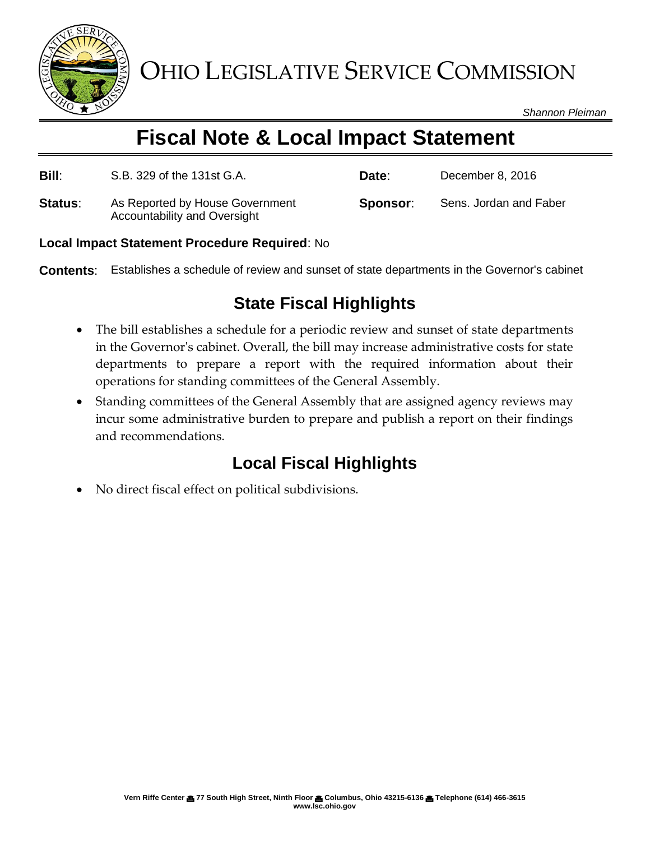

OHIO LEGISLATIVE SERVICE COMMISSION

*Shannon Pleiman*

# **Fiscal Note & Local Impact Statement**

| <b>Bill:</b> | S.B. 329 of the 131st G.A.                                      | Date:    | December 8, 2016       |
|--------------|-----------------------------------------------------------------|----------|------------------------|
| Status:      | As Reported by House Government<br>Accountability and Oversight | Sponsor: | Sens. Jordan and Faber |

#### **Local Impact Statement Procedure Required**: No

**Contents**: Establishes a schedule of review and sunset of state departments in the Governor's cabinet

### **State Fiscal Highlights**

- The bill establishes a schedule for a periodic review and sunset of state departments in the Governor's cabinet. Overall, the bill may increase administrative costs for state departments to prepare a report with the required information about their operations for standing committees of the General Assembly.
- Standing committees of the General Assembly that are assigned agency reviews may incur some administrative burden to prepare and publish a report on their findings and recommendations.

## **Local Fiscal Highlights**

No direct fiscal effect on political subdivisions.